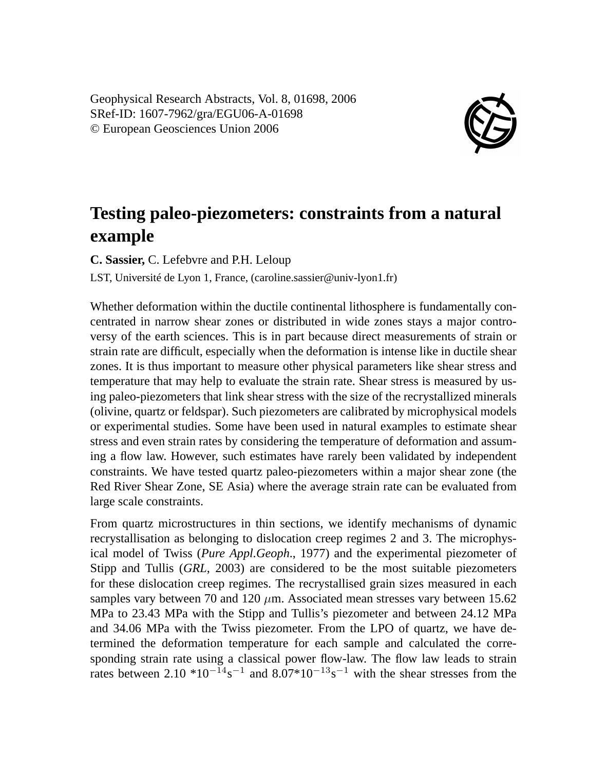Geophysical Research Abstracts, Vol. 8, 01698, 2006 SRef-ID: 1607-7962/gra/EGU06-A-01698 © European Geosciences Union 2006



## **Testing paleo-piezometers: constraints from a natural example**

**C. Sassier,** C. Lefebvre and P.H. Leloup

LST, Université de Lyon 1, France, (caroline.sassier@univ-lyon1.fr)

Whether deformation within the ductile continental lithosphere is fundamentally concentrated in narrow shear zones or distributed in wide zones stays a major controversy of the earth sciences. This is in part because direct measurements of strain or strain rate are difficult, especially when the deformation is intense like in ductile shear zones. It is thus important to measure other physical parameters like shear stress and temperature that may help to evaluate the strain rate. Shear stress is measured by using paleo-piezometers that link shear stress with the size of the recrystallized minerals (olivine, quartz or feldspar). Such piezometers are calibrated by microphysical models or experimental studies. Some have been used in natural examples to estimate shear stress and even strain rates by considering the temperature of deformation and assuming a flow law. However, such estimates have rarely been validated by independent constraints. We have tested quartz paleo-piezometers within a major shear zone (the Red River Shear Zone, SE Asia) where the average strain rate can be evaluated from large scale constraints.

From quartz microstructures in thin sections, we identify mechanisms of dynamic recrystallisation as belonging to dislocation creep regimes 2 and 3. The microphysical model of Twiss (*Pure Appl.Geoph*., 1977) and the experimental piezometer of Stipp and Tullis (*GRL*, 2003) are considered to be the most suitable piezometers for these dislocation creep regimes. The recrystallised grain sizes measured in each samples vary between 70 and 120  $\mu$ m. Associated mean stresses vary between 15.62 MPa to 23.43 MPa with the Stipp and Tullis's piezometer and between 24.12 MPa and 34.06 MPa with the Twiss piezometer. From the LPO of quartz, we have determined the deformation temperature for each sample and calculated the corresponding strain rate using a classical power flow-law. The flow law leads to strain rates between 2.10  $*10^{-14}s^{-1}$  and 8.07 $*10^{-13}s^{-1}$  with the shear stresses from the